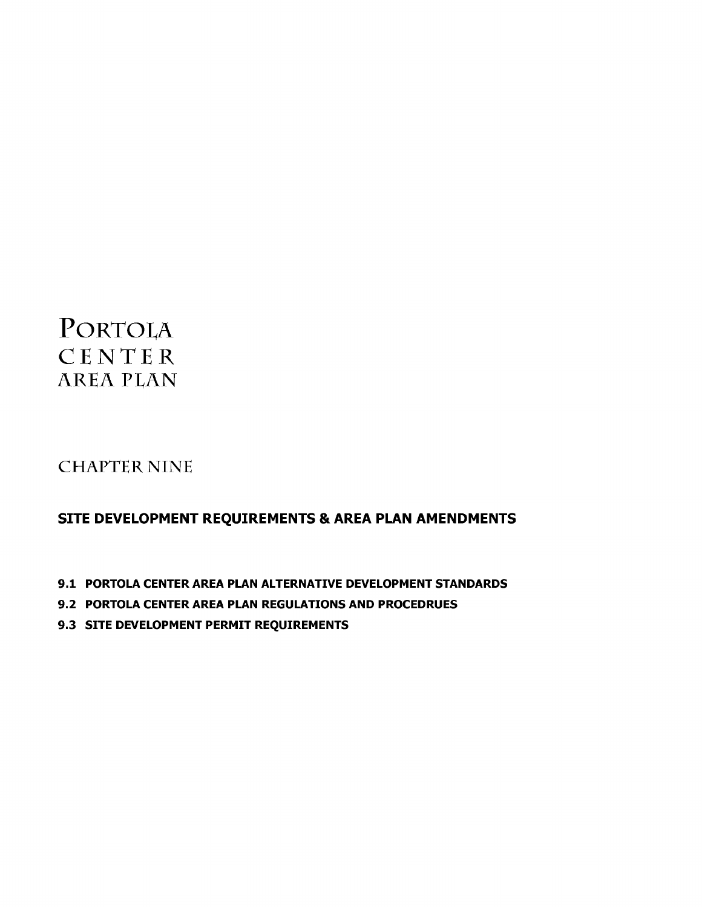# PORTOLA CENTER **AREA PLAN**

## **CHAPTER NINE**

### SITE DEVELOPMENT REQUIREMENTS & AREA PLAN AMENDMENTS

- 9.1 PORTOLA CENTER AREA PLAN ALTERNATIVE DEVELOPMENT STANDARDS
- 9.2 PORTOLA CENTER AREA PLAN REGULATIONS AND PROCEDRUES
- 9.3 SITE DEVELOPMENT PERMIT REQUIREMENTS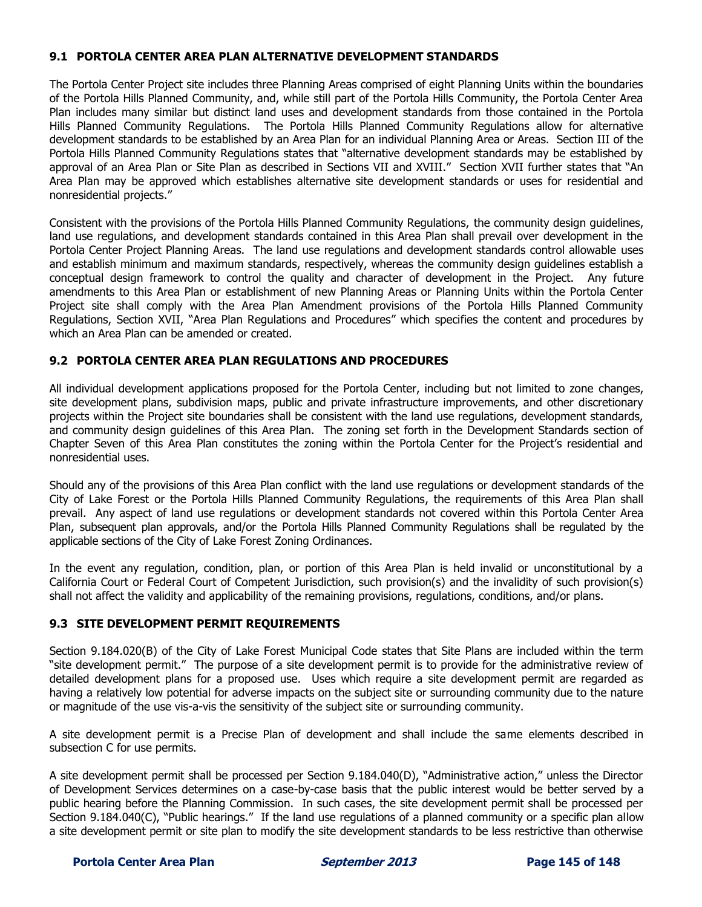#### **9.1 PORTOLA CENTER AREA PLAN ALTERNATIVE DEVELOPMENT STANDARDS**

The Portola Center Project site includes three Planning Areas comprised of eight Planning Units within the boundaries of the Portola Hills Planned Community, and, while still part of the Portola Hills Community, the Portola Center Area Plan includes many similar but distinct land uses and development standards from those contained in the Portola Hills Planned Community Regulations. The Portola Hills Planned Community Regulations allow for alternative development standards to be established by an Area Plan for an individual Planning Area or Areas. Section III of the Portola Hills Planned Community Regulations states that "alternative development standards may be established by approval of an Area Plan or Site Plan as described in Sections VII and XVIII." Section XVII further states that "An Area Plan may be approved which establishes alternative site development standards or uses for residential and nonresidential projects."

Consistent with the provisions of the Portola Hills Planned Community Regulations, the community design guidelines, land use regulations, and development standards contained in this Area Plan shall prevail over development in the Portola Center Project Planning Areas. The land use regulations and development standards control allowable uses and establish minimum and maximum standards, respectively, whereas the community design guidelines establish a conceptual design framework to control the quality and character of development in the Project. Any future amendments to this Area Plan or establishment of new Planning Areas or Planning Units within the Portola Center Project site shall comply with the Area Plan Amendment provisions of the Portola Hills Planned Community Regulations, Section XVII, "Area Plan Regulations and Procedures" which specifies the content and procedures by which an Area Plan can be amended or created.

#### **9.2 PORTOLA CENTER AREA PLAN REGULATIONS AND PROCEDURES**

All individual development applications proposed for the Portola Center, including but not limited to zone changes, site development plans, subdivision maps, public and private infrastructure improvements, and other discretionary projects within the Project site boundaries shall be consistent with the land use regulations, development standards, and community design guidelines of this Area Plan. The zoning set forth in the Development Standards section of Chapter Seven of this Area Plan constitutes the zoning within the Portola Center for the Project's residential and nonresidential uses.

Should any of the provisions of this Area Plan conflict with the land use regulations or development standards of the City of Lake Forest or the Portola Hills Planned Community Regulations, the requirements of this Area Plan shall prevail. Any aspect of land use regulations or development standards not covered within this Portola Center Area Plan, subsequent plan approvals, and/or the Portola Hills Planned Community Regulations shall be regulated by the applicable sections of the City of Lake Forest Zoning Ordinances.

In the event any regulation, condition, plan, or portion of this Area Plan is held invalid or unconstitutional by a California Court or Federal Court of Competent Jurisdiction, such provision(s) and the invalidity of such provision(s) shall not affect the validity and applicability of the remaining provisions, regulations, conditions, and/or plans.

#### **9.3 SITE DEVELOPMENT PERMIT REQUIREMENTS**

Section 9.184.020(B) of the City of Lake Forest Municipal Code states that Site Plans are included within the term "site development permit." The purpose of a site development permit is to provide for the administrative review of detailed development plans for a proposed use. Uses which require a site development permit are regarded as having a relatively low potential for adverse impacts on the subject site or surrounding community due to the nature or magnitude of the use vis-a-vis the sensitivity of the subject site or surrounding community.

A site development permit is a Precise Plan of development and shall include the same elements described in subsection C for use permits.

A site development permit shall be processed per Section 9.184.040(D), "Administrative action," unless the Director of Development Services determines on a case-by-case basis that the public interest would be better served by a public hearing before the Planning Commission. In such cases, the site development permit shall be processed per Section 9.184.040(C), "Public hearings." If the land use regulations of a planned community or a specific plan allow a site development permit or site plan to modify the site development standards to be less restrictive than otherwise